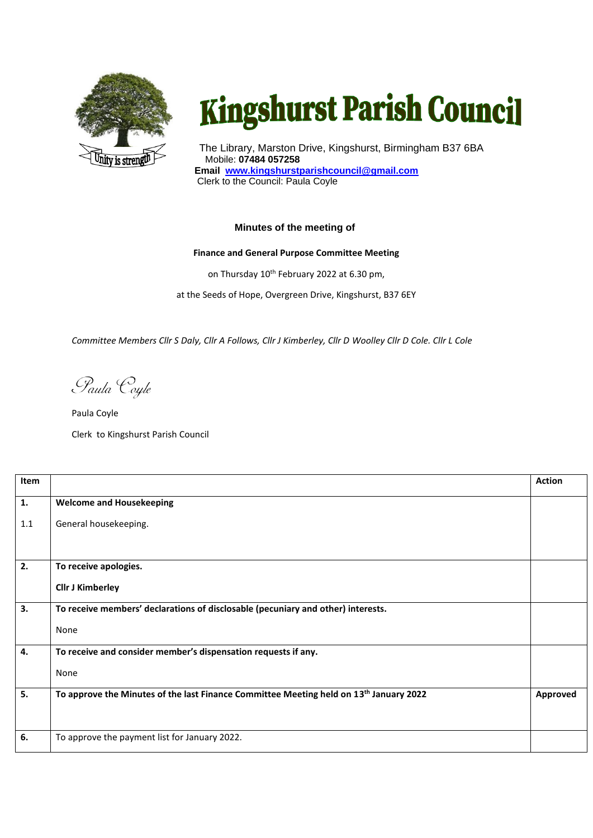

## **Kingshurst Parish Council**

The Library, Marston Drive, Kingshurst, Birmingham B37 6BA Mobile: **07484 057258 Email www.kingshurstparishcouncil@gmail.com** Clerk to the Council: Paula Coyle

## **Minutes of the meeting of**

## **Finance and General Purpose Committee Meeting**

on Thursday 10<sup>th</sup> February 2022 at 6.30 pm,

at the Seeds of Hope, Overgreen Drive, Kingshurst, B37 6EY

*Committee Members Cllr S Daly, Cllr A Follows, Cllr J Kimberley, Cllr D Woolley Cllr D Cole. Cllr L Cole*

Paula Coyle

Paula Coyle Clerk to Kingshurst Parish Council

| Item                      |                                                                                                    | <b>Action</b> |
|---------------------------|----------------------------------------------------------------------------------------------------|---------------|
| 1.                        | <b>Welcome and Housekeeping</b>                                                                    |               |
| 1.1                       | General housekeeping.                                                                              |               |
| 2.                        | To receive apologies.                                                                              |               |
|                           | <b>Cllr J Kimberley</b>                                                                            |               |
| $\overline{\mathbf{3}}$ . | To receive members' declarations of disclosable (pecuniary and other) interests.                   |               |
|                           | None                                                                                               |               |
| 4.                        | To receive and consider member's dispensation requests if any.                                     |               |
|                           | None                                                                                               |               |
| 5.                        | To approve the Minutes of the last Finance Committee Meeting held on 13 <sup>th</sup> January 2022 | Approved      |
| 6.                        | To approve the payment list for January 2022.                                                      |               |